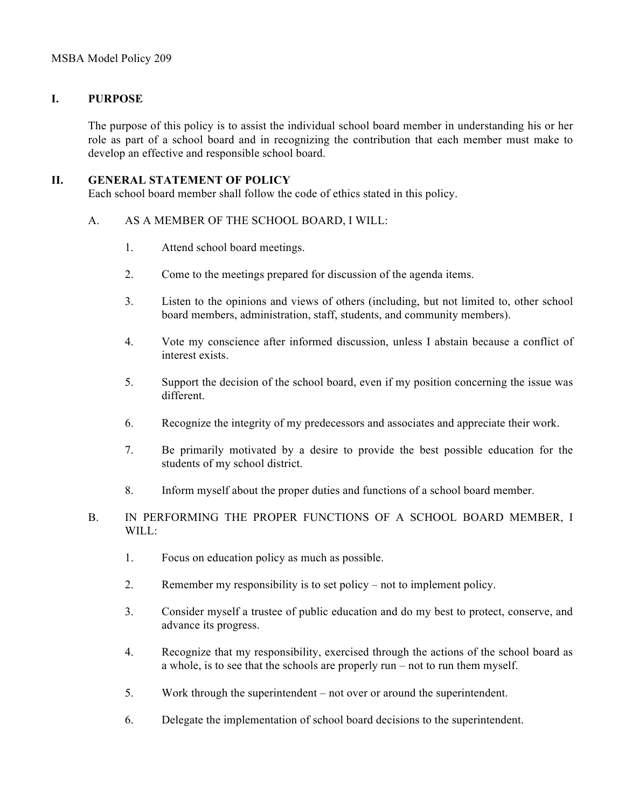## **I. PURPOSE**

The purpose of this policy is to assist the individual school board member in understanding his or her role as part of a school board and in recognizing the contribution that each member must make to develop an effective and responsible school board.

## **II. GENERAL STATEMENT OF POLICY**

Each school board member shall follow the code of ethics stated in this policy.

- A. AS A MEMBER OF THE SCHOOL BOARD, I WILL:
	- 1. Attend school board meetings.
	- 2. Come to the meetings prepared for discussion of the agenda items.
	- 3. Listen to the opinions and views of others (including, but not limited to, other school board members, administration, staff, students, and community members).
	- 4. Vote my conscience after informed discussion, unless I abstain because a conflict of interest exists.
	- 5. Support the decision of the school board, even if my position concerning the issue was different.
	- 6. Recognize the integrity of my predecessors and associates and appreciate their work.
	- 7. Be primarily motivated by a desire to provide the best possible education for the students of my school district.
	- 8. Inform myself about the proper duties and functions of a school board member.
- B. IN PERFORMING THE PROPER FUNCTIONS OF A SCHOOL BOARD MEMBER, I WILL:
	- 1. Focus on education policy as much as possible.
	- 2. Remember my responsibility is to set policy not to implement policy.
	- 3. Consider myself a trustee of public education and do my best to protect, conserve, and advance its progress.
	- 4. Recognize that my responsibility, exercised through the actions of the school board as a whole, is to see that the schools are properly run – not to run them myself.
	- 5. Work through the superintendent not over or around the superintendent.
	- 6. Delegate the implementation of school board decisions to the superintendent.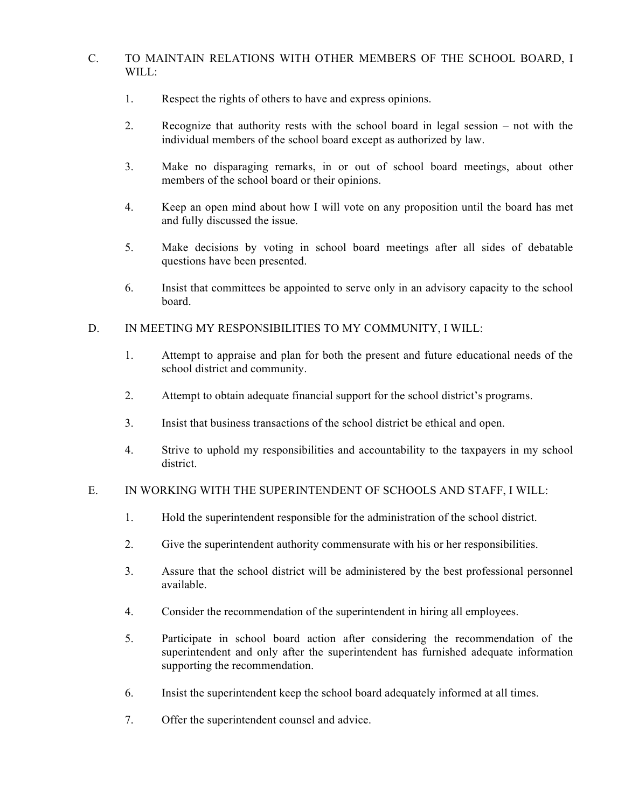## C. TO MAINTAIN RELATIONS WITH OTHER MEMBERS OF THE SCHOOL BOARD, I WILL:

- 1. Respect the rights of others to have and express opinions.
- 2. Recognize that authority rests with the school board in legal session not with the individual members of the school board except as authorized by law.
- 3. Make no disparaging remarks, in or out of school board meetings, about other members of the school board or their opinions.
- 4. Keep an open mind about how I will vote on any proposition until the board has met and fully discussed the issue.
- 5. Make decisions by voting in school board meetings after all sides of debatable questions have been presented.
- 6. Insist that committees be appointed to serve only in an advisory capacity to the school board.
- D. IN MEETING MY RESPONSIBILITIES TO MY COMMUNITY, I WILL:
	- 1. Attempt to appraise and plan for both the present and future educational needs of the school district and community.
	- 2. Attempt to obtain adequate financial support for the school district's programs.
	- 3. Insist that business transactions of the school district be ethical and open.
	- 4. Strive to uphold my responsibilities and accountability to the taxpayers in my school district.

## E. IN WORKING WITH THE SUPERINTENDENT OF SCHOOLS AND STAFF, I WILL:

- 1. Hold the superintendent responsible for the administration of the school district.
- 2. Give the superintendent authority commensurate with his or her responsibilities.
- 3. Assure that the school district will be administered by the best professional personnel available.
- 4. Consider the recommendation of the superintendent in hiring all employees.
- 5. Participate in school board action after considering the recommendation of the superintendent and only after the superintendent has furnished adequate information supporting the recommendation.
- 6. Insist the superintendent keep the school board adequately informed at all times.
- 7. Offer the superintendent counsel and advice.